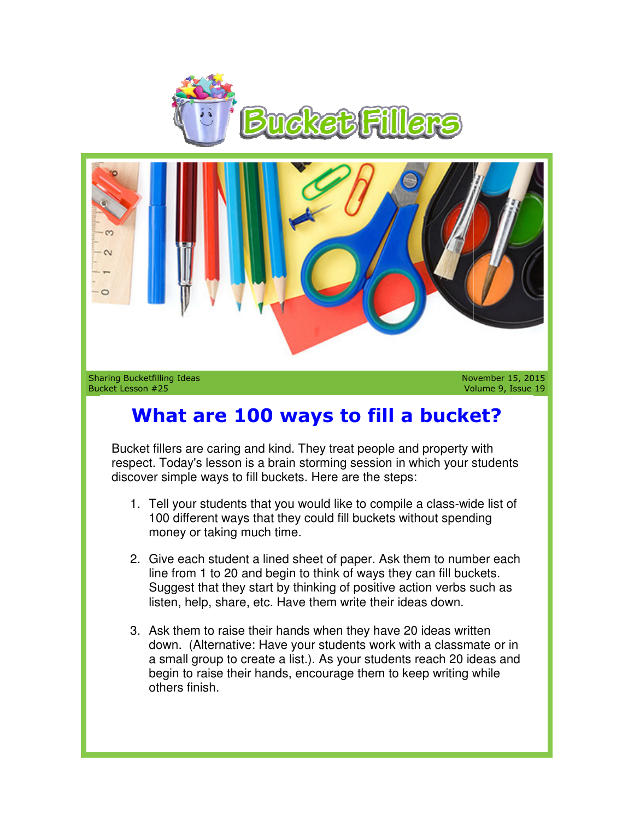

Sharing Bucketfilling Ideas Bucket Lesson #25

November 15, 2015 Volume 9, Issue 19

## **What are 100 ways to fill a bucket? are 100**

Bucket fillers are caring and kind. They treat people and property with respect. Today's lesson is a brain storming session in which your students discover simple ways to fill buckets. Here are the steps: ig and kind. They treat people and property with<br>in is a brain storming session in which your students<br>to fill buckets. Here are the steps:<br>nts that you would like to compile a class-wide list of

- 1. Tell your students that you would like to compile a class-wide list of 100 different ways that they could fill buckets without spending money or taking much time.
- 2. Give each student a lined sheet of paper. Ask them to number each line from 1 to 20 and begin to think of ways they can fill buckets. Give each student a lined sheet of paper. Ask them to number eacl<br>line from 1 to 20 and begin to think of ways they can fill buckets.<br>Suggest that they start by thinking of positive action verbs such as listen, help, share, etc. Have them write their ideas down.
- 3. Ask them to raise their hands when they have 20 ideas written down. (Alternative: Have your students work with a classmate or in down. (Alternative: Have your students work with a classmate or in<br>a small group to create a list.). As your students reach 20 ideas and begin to raise their hands, encourage them to keep writing while others finish. Weren the state of paper and the state of paper and begin to raise their than the state of paper and begin to raise and the state of the state of the state of the state of the state of the state of the state of the state o